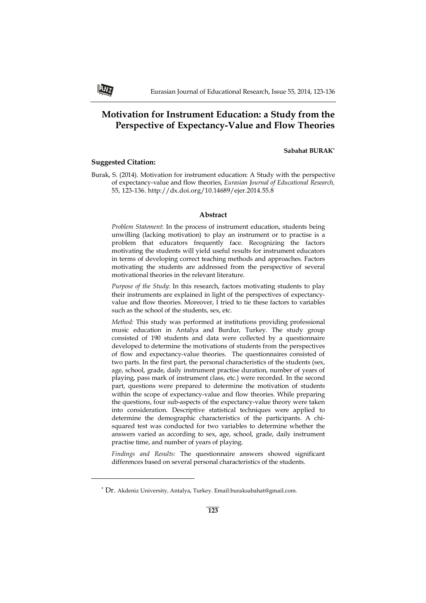# **Motivation for Instrument Education: a Study from the Perspective of Expectancy-Value and Flow Theories**

## **Sabahat BURAK\***

# **Suggested Citation:**

ANT

 $\overline{\phantom{0}}$ 

Burak, S. (2014). Motivation for instrument education: A Study with the perspective of expectancy-value and flow theories, *Eurasian Journal of Educational Research,*  55, 123-136. http://dx.doi.org/10.14689/ejer.2014.55.8

# **Abstract**

*Problem Statement*: In the process of instrument education, students being unwilling (lacking motivation) to play an instrument or to practise is a problem that educators frequently face. Recognizing the factors motivating the students will yield useful results for instrument educators in terms of developing correct teaching methods and approaches. Factors motivating the students are addressed from the perspective of several motivational theories in the relevant literature.

*Purpose of the Study*: In this research, factors motivating students to play their instruments are explained in light of the perspectives of expectancyvalue and flow theories. Moreover, I tried to tie these factors to variables such as the school of the students, sex, etc.

*Method:* This study was performed at institutions providing professional music education in Antalya and Burdur, Turkey. The study group consisted of 190 students and data were collected by a questionnaire developed to determine the motivations of students from the perspectives of flow and expectancy-value theories. The questionnaires consisted of two parts. In the first part, the personal characteristics of the students (sex, age, school, grade, daily instrument practise duration, number of years of playing, pass mark of instrument class, etc.) were recorded. In the second part, questions were prepared to determine the motivation of students within the scope of expectancy-value and flow theories. While preparing the questions, four sub-aspects of the expectancy-value theory were taken into consideration. Descriptive statistical techniques were applied to determine the demographic characteristics of the participants. A chisquared test was conducted for two variables to determine whether the answers varied as according to sex, age, school, grade, daily instrument practise time, and number of years of playing.

*Findings and Results:* The questionnaire answers showed significant differences based on several personal characteristics of the students.

<sup>\*</sup> Dr. Akdeniz University, Antalya, Turkey. Email:buraksabahat@gmail.com.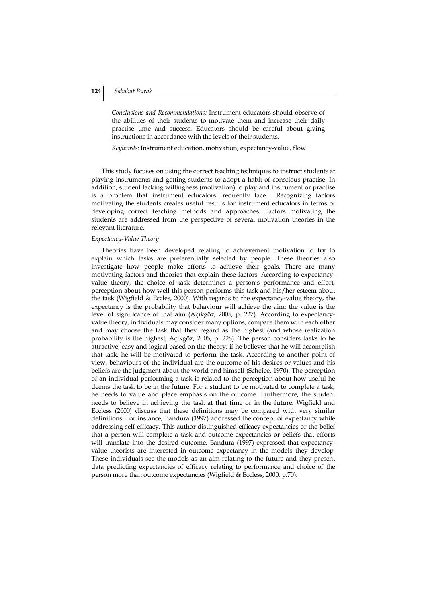# **124** *Sabahat Burak*

*Conclusions and Recommendations:* Instrument educators should observe of the abilities of their students to motivate them and increase their daily practise time and success. Educators should be careful about giving instructions in accordance with the levels of their students.

*Keywords:* Instrument education, motivation, expectancy-value, flow

This study focuses on using the correct teaching techniques to instruct students at playing instruments and getting students to adopt a habit of conscious practise. In addition, student lacking willingness (motivation) to play and instrument or practise is a problem that instrument educators frequently face. Recognizing factors motivating the students creates useful results for instrument educators in terms of developing correct teaching methods and approaches. Factors motivating the students are addressed from the perspective of several motivation theories in the relevant literature.

## *Expectancy-Value Theory*

Theories have been developed relating to achievement motivation to try to explain which tasks are preferentially selected by people. These theories also investigate how people make efforts to achieve their goals. There are many motivating factors and theories that explain these factors. According to expectancyvalue theory, the choice of task determines a person's performance and effort, perception about how well this person performs this task and his/her esteem about the task (Wigfield & Eccles, 2000). With regards to the expectancy-value theory, the expectancy is the probability that behaviour will achieve the aim; the value is the level of significance of that aim (Açıkgöz, 2005, p. 227). According to expectancyvalue theory, individuals may consider many options, compare them with each other and may choose the task that they regard as the highest (and whose realization probability is the highest; Açıkgöz, 2005, p. 228). The person considers tasks to be attractive, easy and logical based on the theory; if he believes that he will accomplish that task, he will be motivated to perform the task. According to another point of view, behaviours of the individual are the outcome of his desires or values and his beliefs are the judgment about the world and himself (Scheibe, 1970). The perception of an individual performing a task is related to the perception about how useful he deems the task to be in the future. For a student to be motivated to complete a task, he needs to value and place emphasis on the outcome. Furthermore, the student needs to believe in achieving the task at that time or in the future. Wigfield and Eccless (2000) discuss that these definitions may be compared with very similar definitions. For instance, Bandura (1997) addressed the concept of expectancy while addressing self-efficacy. This author distinguished efficacy expectancies or the belief that a person will complete a task and outcome expectancies or beliefs that efforts will translate into the desired outcome. Bandura (1997) expressed that expectancyvalue theorists are interested in outcome expectancy in the models they develop. These individuals see the models as an aim relating to the future and they present data predicting expectancies of efficacy relating to performance and choice of the person more than outcome expectancies (Wigfield & Eccless, 2000, p.70).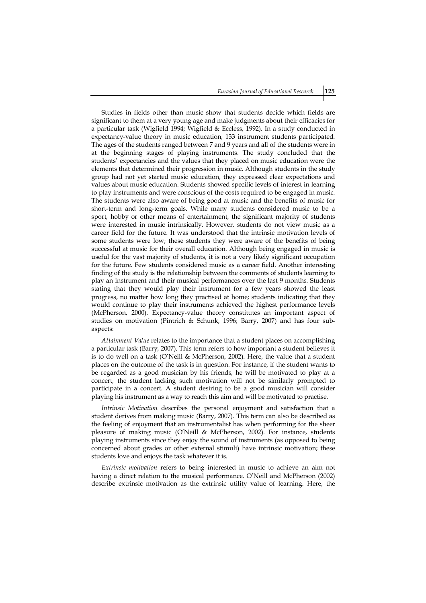Studies in fields other than music show that students decide which fields are significant to them at a very young age and make judgments about their efficacies for a particular task (Wigfield 1994; Wigfield & Eccless, 1992). In a study conducted in expectancy-value theory in music education, 133 instrument students participated. The ages of the students ranged between 7 and 9 years and all of the students were in at the beginning stages of playing instruments. The study concluded that the students' expectancies and the values that they placed on music education were the elements that determined their progression in music. Although students in the study group had not yet started music education, they expressed clear expectations and values about music education. Students showed specific levels of interest in learning to play instruments and were conscious of the costs required to be engaged in music. The students were also aware of being good at music and the benefits of music for short-term and long-term goals. While many students considered music to be a sport, hobby or other means of entertainment, the significant majority of students were interested in music intrinsically. However, students do not view music as a career field for the future. It was understood that the intrinsic motivation levels of some students were low; these students they were aware of the benefits of being successful at music for their overall education. Although being engaged in music is useful for the vast majority of students, it is not a very likely significant occupation for the future. Few students considered music as a career field. Another interesting finding of the study is the relationship between the comments of students learning to play an instrument and their musical performances over the last 9 months. Students stating that they would play their instrument for a few years showed the least progress, no matter how long they practised at home; students indicating that they would continue to play their instruments achieved the highest performance levels (McPherson, 2000). Expectancy-value theory constitutes an important aspect of studies on motivation (Pintrich & Schunk, 1996; Barry, 2007) and has four subaspects:

*Attainment Value* relates to the importance that a student places on accomplishing a particular task (Barry, 2007). This term refers to how important a student believes it is to do well on a task (O'Neill & McPherson, 2002). Here, the value that a student places on the outcome of the task is in question. For instance, if the student wants to be regarded as a good musician by his friends, he will be motivated to play at a concert; the student lacking such motivation will not be similarly prompted to participate in a concert. A student desiring to be a good musician will consider playing his instrument as a way to reach this aim and will be motivated to practise.

*Intrinsic Motivation* describes the personal enjoyment and satisfaction that a student derives from making music (Barry, 2007). This term can also be described as the feeling of enjoyment that an instrumentalist has when performing for the sheer pleasure of making music (O'Neill & McPherson, 2002). For instance, students playing instruments since they enjoy the sound of instruments (as opposed to being concerned about grades or other external stimuli) have intrinsic motivation; these students love and enjoys the task whatever it is.

*Extrinsic motivation* refers to being interested in music to achieve an aim not having a direct relation to the musical performance. O'Neill and McPherson (2002) describe extrinsic motivation as the extrinsic utility value of learning. Here, the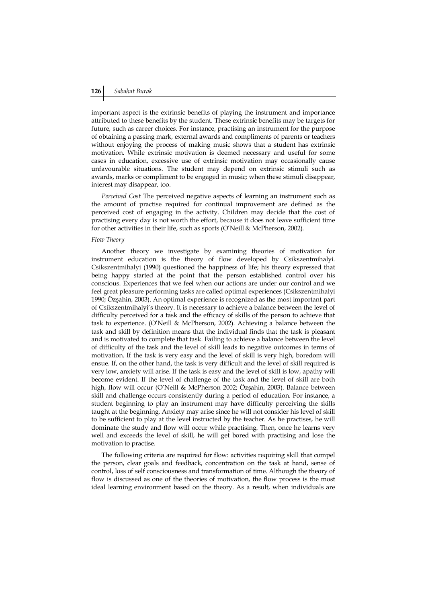important aspect is the extrinsic benefits of playing the instrument and importance attributed to these benefits by the student. These extrinsic benefits may be targets for future, such as career choices. For instance, practising an instrument for the purpose of obtaining a passing mark, external awards and compliments of parents or teachers without enjoying the process of making music shows that a student has extrinsic motivation. While extrinsic motivation is deemed necessary and useful for some cases in education, excessive use of extrinsic motivation may occasionally cause unfavourable situations. The student may depend on extrinsic stimuli such as awards, marks or compliment to be engaged in music; when these stimuli disappear, interest may disappear, too.

*Perceived Cost* The perceived negative aspects of learning an instrument such as the amount of practise required for continual improvement are defined as the perceived cost of engaging in the activity. Children may decide that the cost of practising every day is not worth the effort, because it does not leave sufficient time for other activities in their life, such as sports (O'Neill & McPherson, 2002).

# *Flow Theory*

Another theory we investigate by examining theories of motivation for instrument education is the theory of flow developed by Csikszentmihalyi. Csikszentmihalyi (1990) questioned the happiness of life; his theory expressed that being happy started at the point that the person established control over his conscious. Experiences that we feel when our actions are under our control and we feel great pleasure performing tasks are called optimal experiences (Csikszentmihalyi 1990; Özşahin, 2003). An optimal experience is recognized as the most important part of Csikszentmihalyi's theory. It is necessary to achieve a balance between the level of difficulty perceived for a task and the efficacy of skills of the person to achieve that task to experience. (O'Neill & McPherson, 2002). Achieving a balance between the task and skill by definition means that the individual finds that the task is pleasant and is motivated to complete that task. Failing to achieve a balance between the level of difficulty of the task and the level of skill leads to negative outcomes in terms of motivation. If the task is very easy and the level of skill is very high, boredom will ensue. If, on the other hand, the task is very difficult and the level of skill required is very low, anxiety will arise. If the task is easy and the level of skill is low, apathy will become evident. If the level of challenge of the task and the level of skill are both high, flow will occur (O'Neill & McPherson 2002; Özşahin, 2003). Balance between skill and challenge occurs consistently during a period of education. For instance, a student beginning to play an instrument may have difficulty perceiving the skills taught at the beginning. Anxiety may arise since he will not consider his level of skill to be sufficient to play at the level instructed by the teacher. As he practises, he will dominate the study and flow will occur while practising. Then, once he learns very well and exceeds the level of skill, he will get bored with practising and lose the motivation to practise.

The following criteria are required for flow: activities requiring skill that compel the person, clear goals and feedback, concentration on the task at hand, sense of control, loss of self consciousness and transformation of time. Although the theory of flow is discussed as one of the theories of motivation, the flow process is the most ideal learning environment based on the theory. As a result, when individuals are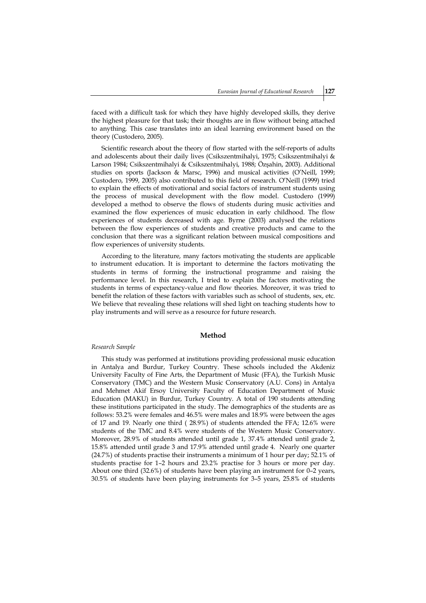faced with a difficult task for which they have highly developed skills, they derive the highest pleasure for that task; their thoughts are in flow without being attached to anything. This case translates into an ideal learning environment based on the theory (Custodero, 2005).

Scientific research about the theory of flow started with the self-reports of adults and adolescents about their daily lives (Csikszentmihalyi, 1975; Csikszentmihalyi & Larson 1984; Csikszentmihalyi & Csikszentmihalyi, 1988; Özşahin, 2003). Additional studies on sports (Jackson & Marsc, 1996) and musical activities (O'Neill, 1999; Custodero, 1999, 2005) also contributed to this field of research. O'Neill (1999) tried to explain the effects of motivational and social factors of instrument students using the process of musical development with the flow model. Custodero (1999) developed a method to observe the flows of students during music activities and examined the flow experiences of music education in early childhood. The flow experiences of students decreased with age. Byrne (2003) analysed the relations between the flow experiences of students and creative products and came to the conclusion that there was a significant relation between musical compositions and flow experiences of university students.

According to the literature, many factors motivating the students are applicable to instrument education. It is important to determine the factors motivating the students in terms of forming the instructional programme and raising the performance level. In this research, I tried to explain the factors motivating the students in terms of expectancy-value and flow theories. Moreover, it was tried to benefit the relation of these factors with variables such as school of students, sex, etc. We believe that revealing these relations will shed light on teaching students how to play instruments and will serve as a resource for future research.

## **Method**

#### *Research Sample*

This study was performed at institutions providing professional music education in Antalya and Burdur, Turkey Country. These schools included the Akdeniz University Faculty of Fine Arts, the Department of Music (FFA), the Turkish Music Conservatory (TMC) and the Western Music Conservatory (A.U. Cons) in Antalya and Mehmet Akif Ersoy University Faculty of Education Department of Music Education (MAKU) in Burdur, Turkey Country. A total of 190 students attending these institutions participated in the study. The demographics of the students are as follows: 53.2% were females and 46.5% were males and 18.9% were between the ages of 17 and 19. Nearly one third ( 28.9%) of students attended the FFA; 12.6% were students of the TMC and 8.4% were students of the Western Music Conservatory. Moreover, 28.9% of students attended until grade 1, 37.4% attended until grade 2, 15.8% attended until grade 3 and 17.9% attended until grade 4. Nearly one quarter (24.7%) of students practise their instruments a minimum of 1 hour per day; 52.1% of students practise for 1–2 hours and 23.2% practise for 3 hours or more per day. About one third (32.6%) of students have been playing an instrument for 0–2 years, 30.5% of students have been playing instruments for 3–5 years, 25.8% of students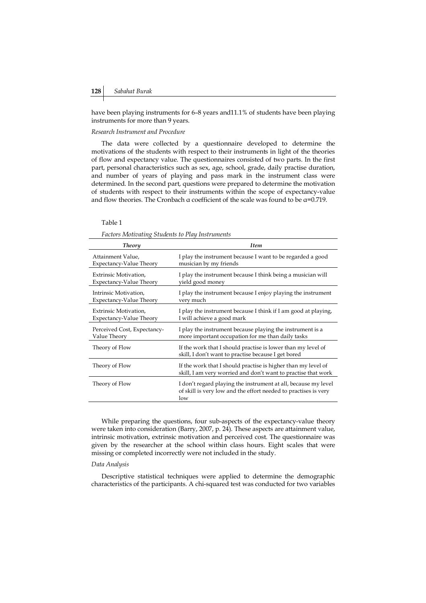have been playing instruments for 6–8 years and11.1% of students have been playing instruments for more than 9 years.

#### *Research Instrument and Procedure*

The data were collected by a questionnaire developed to determine the motivations of the students with respect to their instruments in light of the theories of flow and expectancy value. The questionnaires consisted of two parts. In the first part, personal characteristics such as sex, age, school, grade, daily practise duration, and number of years of playing and pass mark in the instrument class were determined. In the second part, questions were prepared to determine the motivation of students with respect to their instruments within the scope of expectancy-value and flow theories. The Cronbach  $\alpha$  coefficient of the scale was found to be  $\alpha$ =0.719.

#### Table 1

*Factors Motivating Students to Play Instruments* 

| <b>Theory</b>               | <b>Item</b>                                                                                                                              |
|-----------------------------|------------------------------------------------------------------------------------------------------------------------------------------|
| Attainment Value,           | I play the instrument because I want to be regarded a good                                                                               |
| Expectancy-Value Theory     | musician by my friends                                                                                                                   |
| Extrinsic Motivation,       | I play the instrument because I think being a musician will                                                                              |
| Expectancy-Value Theory     | yield good money                                                                                                                         |
| Intrinsic Motivation,       | I play the instrument because I enjoy playing the instrument                                                                             |
| Expectancy-Value Theory     | very much                                                                                                                                |
| Extrinsic Motivation,       | I play the instrument because I think if I am good at playing,                                                                           |
| Expectancy-Value Theory     | I will achieve a good mark                                                                                                               |
| Perceived Cost, Expectancy- | I play the instrument because playing the instrument is a                                                                                |
| Value Theory                | more important occupation for me than daily tasks                                                                                        |
| Theory of Flow              | If the work that I should practise is lower than my level of<br>skill, I don't want to practise because I get bored                      |
| Theory of Flow              | If the work that I should practise is higher than my level of<br>skill, I am very worried and don't want to practise that work           |
| Theory of Flow              | I don't regard playing the instrument at all, because my level<br>of skill is very low and the effort needed to practises is very<br>low |
|                             |                                                                                                                                          |

While preparing the questions, four sub-aspects of the expectancy-value theory were taken into consideration (Barry, 2007, p. 24). These aspects are attainment value, intrinsic motivation, extrinsic motivation and perceived cost. The questionnaire was given by the researcher at the school within class hours. Eight scales that were missing or completed incorrectly were not included in the study.

#### *Data Analysis*

Descriptive statistical techniques were applied to determine the demographic characteristics of the participants. A chi-squared test was conducted for two variables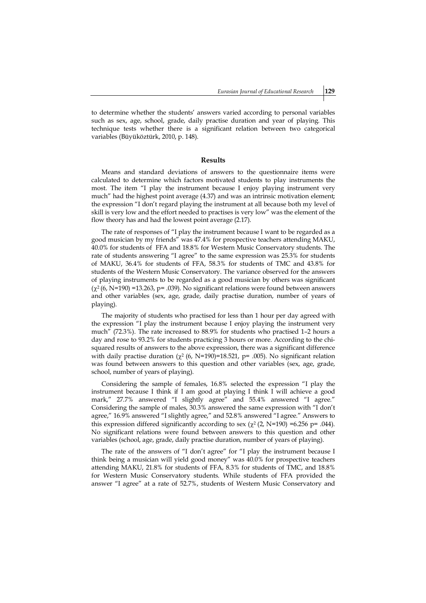to determine whether the students' answers varied according to personal variables such as sex, age, school, grade, daily practise duration and year of playing. This technique tests whether there is a significant relation between two categorical variables (Büyüköztürk, 2010, p. 148).

#### **Results**

Means and standard deviations of answers to the questionnaire items were calculated to determine which factors motivated students to play instruments the most. The item "I play the instrument because I enjoy playing instrument very much" had the highest point average (4.37) and was an intrinsic motivation element; the expression "I don't regard playing the instrument at all because both my level of skill is very low and the effort needed to practises is very low" was the element of the flow theory has and had the lowest point average (2.17).

The rate of responses of "I play the instrument because I want to be regarded as a good musician by my friends" was 47.4% for prospective teachers attending MAKU, 40.0% for students of FFA and 18.8% for Western Music Conservatory students. The rate of students answering "I agree" to the same expression was 25.3% for students of MAKU, 36.4% for students of FFA, 58.3% for students of TMC and 43.8% for students of the Western Music Conservatory. The variance observed for the answers of playing instruments to be regarded as a good musician by others was significant  $(\chi^2(6, N=190) = 13.263, p = .039)$ . No significant relations were found between answers and other variables (sex, age, grade, daily practise duration, number of years of playing).

The majority of students who practised for less than 1 hour per day agreed with the expression "I play the instrument because I enjoy playing the instrument very much" (72.3%). The rate increased to 88.9% for students who practised 1–2 hours a day and rose to 93.2% for students practicing 3 hours or more. According to the chisquared results of answers to the above expression, there was a significant difference with daily practise duration ( $\chi^2$  (6, N=190)=18.521, p= .005). No significant relation was found between answers to this question and other variables (sex, age, grade, school, number of years of playing).

Considering the sample of females, 16.8% selected the expression "I play the instrument because I think if I am good at playing I think I will achieve a good mark," 27.7% answered "I slightly agree" and 55.4% answered "I agree." Considering the sample of males, 30.3% answered the same expression with "I don't agree," 16.9% answered "I slightly agree," and 52.8% answered "I agree." Answers to this expression differed significantly according to sex ( $\chi^2$  (2, N=190) =6.256 p= .044). No significant relations were found between answers to this question and other variables (school, age, grade, daily practise duration, number of years of playing).

The rate of the answers of "I don't agree" for "I play the instrument because I think being a musician will yield good money" was 40.0% for prospective teachers attending MAKU, 21.8% for students of FFA, 8.3% for students of TMC, and 18.8% for Western Music Conservatory students. While students of FFA provided the answer "I agree" at a rate of 52.7%, students of Western Music Conservatory and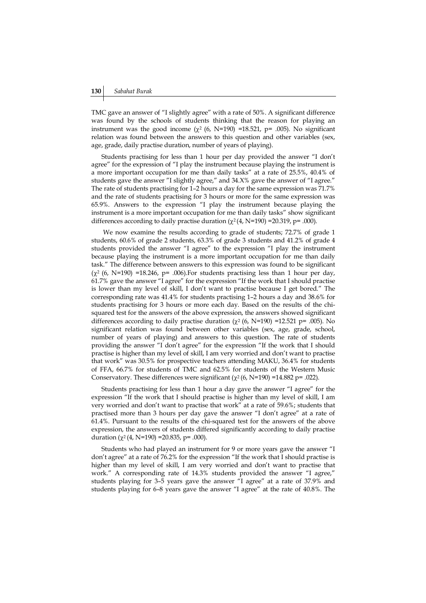TMC gave an answer of "I slightly agree" with a rate of 50%. A significant difference was found by the schools of students thinking that the reason for playing an instrument was the good income  $(\chi^2$  (6, N=190) =18.521, p= .005). No significant relation was found between the answers to this question and other variables (sex, age, grade, daily practise duration, number of years of playing).

Students practising for less than 1 hour per day provided the answer "I don't agree" for the expression of "I play the instrument because playing the instrument is a more important occupation for me than daily tasks" at a rate of 25.5%, 40.4% of students gave the answer "I slightly agree," and 34.X% gave the answer of "I agree." The rate of students practising for 1–2 hours a day for the same expression was 71.7% and the rate of students practising for 3 hours or more for the same expression was 65.9%. Answers to the expression "I play the instrument because playing the instrument is a more important occupation for me than daily tasks" show significant differences according to daily practise duration  $(\chi^2(4, N=190) = 20.319, p = .000)$ .

We now examine the results according to grade of students; 72.7% of grade 1 students, 60.6% of grade 2 students, 63.3% of grade 3 students and 41.2% of grade 4 students provided the answer "I agree" to the expression "I play the instrument because playing the instrument is a more important occupation for me than daily task." The difference between answers to this expression was found to be significant  $(\chi^2$  (6, N=190) =18.246, p= .006). For students practising less than 1 hour per day, 61.7% gave the answer "I agree" for the expression "If the work that I should practise is lower than my level of skill, I don't want to practise because I get bored." The corresponding rate was 41.4% for students practising 1–2 hours a day and 38.6% for students practising for 3 hours or more each day. Based on the results of the chisquared test for the answers of the above expression, the answers showed significant differences according to daily practise duration  $(\chi^2/6, N=190)$  =12.521 p= .005). No significant relation was found between other variables (sex, age, grade, school, number of years of playing) and answers to this question. The rate of students providing the answer "I don't agree" for the expression "If the work that I should practise is higher than my level of skill, I am very worried and don't want to practise that work" was 30.5% for prospective teachers attending MAKU, 36.4% for students of FFA, 66.7% for students of TMC and 62.5% for students of the Western Music Conservatory. These differences were significant  $(\chi^2 (6, N=190) = 14.882 \text{ p} = .022)$ .

Students practising for less than 1 hour a day gave the answer "I agree" for the expression "If the work that I should practise is higher than my level of skill, I am very worried and don't want to practise that work" at a rate of 59.6%; students that practised more than 3 hours per day gave the answer "I don't agree" at a rate of 61.4%. Pursuant to the results of the chi-squared test for the answers of the above expression, the answers of students differed significantly according to daily practise duration  $(\chi^2 (4, N=190) = 20.835, p = .000)$ .

Students who had played an instrument for 9 or more years gave the answer "I don't agree" at a rate of 76.2% for the expression "If the work that I should practise is higher than my level of skill, I am very worried and don't want to practise that work." A corresponding rate of 14.3% students provided the answer "I agree," students playing for 3–5 years gave the answer "I agree" at a rate of 37.9% and students playing for 6–8 years gave the answer "I agree" at the rate of 40.8%. The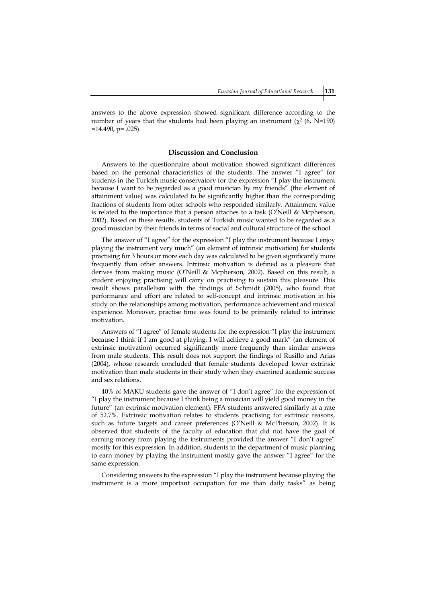answers to the above expression showed significant difference according to the number of years that the students had been playing an instrument ( $\chi^2$  (6, N=190)  $=14.490$ , p= .025).

# **Discussion and Conclusion**

Answers to the questionnaire about motivation showed significant differences based on the personal characteristics of the students. The answer "I agree" for students in the Turkish music conservatory for the expression "I play the instrument because I want to be regarded as a good musician by my friends" (the element of attainment value) was calculated to be significantly higher than the corresponding fractions of students from other schools who responded similarly. Attainment value is related to the importance that a person attaches to a task (O'Neill  $\&$  Mcpherson, 2002). Based on these results, students of Turkish music wanted to be regarded as a good musician by their friends in terms of social and cultural structure of the school.

The answer of "I agree" for the expression "I play the instrument because I enjoy playing the instrument very much" (an element of intrinsic motivation) for students practising for 3 hours or more each day was calculated to be given significantly more frequently than other answers. Intrinsic motivation is defined as a pleasure that derives from making music (O'Neill & Mcpherson, 2002). Based on this result, a student enjoying practising will carry on practising to sustain this pleasure. This result shows parallelism with the findings of Schmidt (2005), who found that performance and effort are related to self-concept and intrinsic motivation in his study on the relationships among motivation, performance achievement and musical experience. Moreover, practise time was found to be primarily related to intrinsic motivation.

Answers of "I agree" of female students for the expression "I play the instrument because I think if I am good at playing, I will achieve a good mark" (an element of extrinsic motivation) occurred significantly more frequently than similar answers from male students. This result does not support the findings of Rusillo and Arias (2004), whose research concluded that female students developed lower extrinsic motivation than male students in their study when they examined academic success and sex relations.

40% of MAKU students gave the answer of "I don't agree" for the expression of "I play the instrument because I think being a musician will yield good money in the future" (an extrinsic motivation element). FFA students answered similarly at a rate of 52.7%. Extrinsic motivation relates to students practising for extrinsic reasons, such as future targets and career preferences (O'Neill & McPherson, 2002). It is observed that students of the faculty of education that did not have the goal of earning money from playing the instruments provided the answer "I don't agree" mostly for this expression. In addition, students in the department of music planning to earn money by playing the instrument mostly gave the answer "I agree" for the same expression.

Considering answers to the expression "I play the instrument because playing the instrument is a more important occupation for me than daily tasks" as being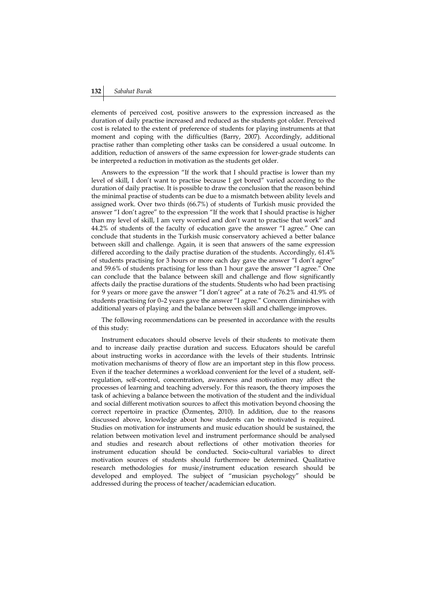elements of perceived cost, positive answers to the expression increased as the duration of daily practise increased and reduced as the students got older. Perceived cost is related to the extent of preference of students for playing instruments at that moment and coping with the difficulties (Barry, 2007). Accordingly, additional practise rather than completing other tasks can be considered a usual outcome. In addition, reduction of answers of the same expression for lower-grade students can be interpreted a reduction in motivation as the students get older.

Answers to the expression "If the work that I should practise is lower than my level of skill, I don't want to practise because I get bored" varied according to the duration of daily practise. It is possible to draw the conclusion that the reason behind the minimal practise of students can be due to a mismatch between ability levels and assigned work. Over two thirds (66.7%) of students of Turkish music provided the answer "I don't agree" to the expression "If the work that I should practise is higher than my level of skill, I am very worried and don't want to practise that work" and 44.2% of students of the faculty of education gave the answer "I agree." One can conclude that students in the Turkish music conservatory achieved a better balance between skill and challenge. Again, it is seen that answers of the same expression differed according to the daily practise duration of the students. Accordingly, 61.4% of students practising for 3 hours or more each day gave the answer "I don't agree" and 59.6% of students practising for less than 1 hour gave the answer "I agree." One can conclude that the balance between skill and challenge and flow significantly affects daily the practise durations of the students. Students who had been practising for 9 years or more gave the answer "I don't agree" at a rate of 76.2% and 41.9% of students practising for 0–2 years gave the answer "I agree." Concern diminishes with additional years of playing and the balance between skill and challenge improves.

The following recommendations can be presented in accordance with the results of this study:

Instrument educators should observe levels of their students to motivate them and to increase daily practise duration and success. Educators should be careful about instructing works in accordance with the levels of their students. Intrinsic motivation mechanisms of theory of flow are an important step in this flow process. Even if the teacher determines a workload convenient for the level of a student, selfregulation, self-control, concentration, awareness and motivation may affect the processes of learning and teaching adversely. For this reason, the theory imposes the task of achieving a balance between the motivation of the student and the individual and social different motivation sources to affect this motivation beyond choosing the correct repertoire in practice (Özmenteş, 2010). In addition, due to the reasons discussed above, knowledge about how students can be motivated is required. Studies on motivation for instruments and music education should be sustained, the relation between motivation level and instrument performance should be analysed and studies and research about reflections of other motivation theories for instrument education should be conducted. Socio-cultural variables to direct motivation sources of students should furthermore be determined. Qualitative research methodologies for music/instrument education research should be developed and employed. The subject of "musician psychology" should be addressed during the process of teacher/academician education.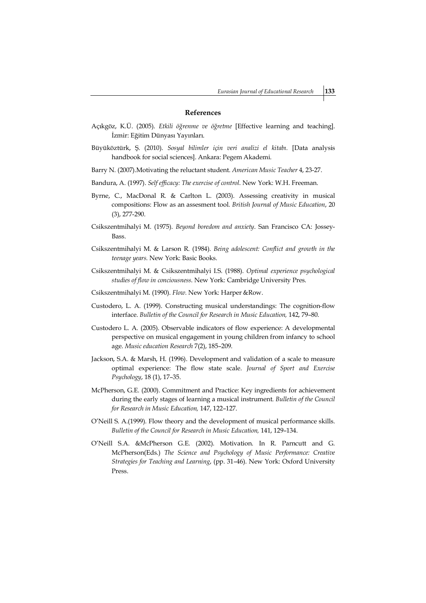# **References**

- Açıkgöz, K.Ü. (2005). *Etkili öğrenme ve öğretme* [Effective learning and teaching]. İzmir: Eğitim Dünyası Yayınları.
- Büyüköztürk, Ş. (2010). *Sosyal bilimler için veri analizi el kitabı.* [Data analysis handbook for social sciences]. Ankara: Pegem Akademi.
- Barry N. (2007).Motivating the reluctant student. *American Music Teacher* 4, 23-27.
- Bandura, A. (1997). *Self efficacy: The exercise of control*. New York: W.H. Freeman.
- Byrne, C., MacDonal R. & Carlton L. (2003). Assessing creativity in musical compositions: Flow as an assesment tool. *British Journal of Music Education*, 20 (3), 277-290.
- Csikszentmihalyi M. (1975). *Beyond boredom and anxiety*. San Francisco CA: Jossey-Bass.
- Csikszentmihalyi M. & Larson R. (1984). *Being adolescent: Conflict and growth in the teenage years.* New York: Basic Books.
- Csikszentmihalyi M. & Csikszentmihalyi I.S. (1988). *Optimal experience psychological studies of flow in conciousness*. New York: Cambridge University Pres.
- Csikszentmihalyi M. (1990). *Flow.* New York: Harper &Row.
- Custodero, L. A. (1999). Constructing musical understandings: The cognition-flow interface. *Bulletin of the Council for Research in Music Education,* 142, 79–80.
- Custodero L. A. (2005). Observable indicators of flow experience: A developmental perspective on musical engagement in young children from infancy to school age. *Music education Research* 7(2), 185–209.
- Jackson, S.A. & Marsh, H. (1996). Development and validation of a scale to measure optimal experience: The flow state scale. *Journal of Sport and Exercise Psychology*, 18 (1), 17–35.
- McPherson, G.E. (2000). Commitment and Practice: Key ingredients for achievement during the early stages of learning a musical instrument. *Bulletin of the Council for Research in Music Education,* 147, 122–127.
- O'Neill S. A.(1999). Flow theory and the development of musical performance skills. *Bulletin of the Council for Research in Music Education,* 141, 129–134.
- O'Neill S.A. &McPherson G.E. (2002). Motivation. In R. Parncutt and G. McPherson(Eds.) *The Science and Psychology of Music Performance: Creative Strategies for Teaching and Learning*, (pp. 31–46). New York: Oxford University Press.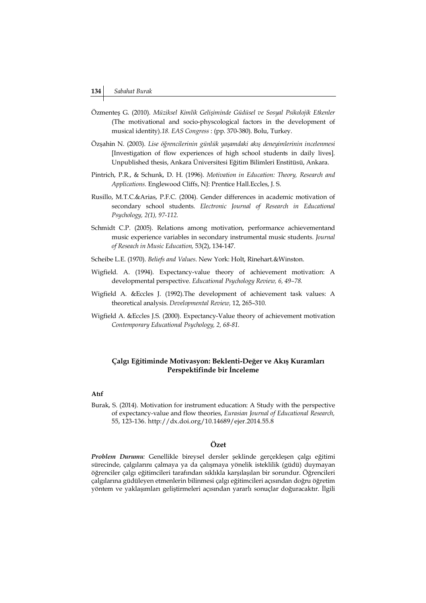- Özmenteş G. (2010). *Müziksel Kimlik Gelişiminde Güdüsel ve Sosyal Psikolojik Etkenler* (The motivational and socio-physcological factors in the development of musical identity).*18. EAS Congress* : (pp. 370-380). Bolu, Turkey.
- Özşahin N. (2003). *Lise öğrencilerinin günlük yaşamdaki akış deneyimlerinin incelenmesi* [Investigation of flow experiences of high school students in daily lives]. Unpublished thesis, Ankara Üniversitesi Eğitim Bilimleri Enstitüsü, Ankara.
- Pintrich, P.R., & Schunk, D. H. (1996). *Motivation in Education: Theory, Research and Applications.* Englewood Cliffs, NJ: Prentice Hall.Eccles, J. S.
- Rusillo, M.T.C.&Arias, P.F.C. (2004). Gender differences in academic motivation of secondary school students. *Electronic Journal of Research in Educational Psychology, 2(1), 97-112.*
- Schmidt C.P. (2005). Relations among motivation, performance achievementand music experience variables in secondary instrumental music students. *Journal of Reseach in Music Education,* 53(2), 134-147.
- Scheibe L.E. (1970). *Beliefs and Values*. New York: Holt, Rinehart.&Winston.
- Wigfield. A. (1994). Expectancy-value theory of achievement motivation: A developmental perspective. *Educational Psychology Review, 6, 49–78.*
- Wigfield A. &Eccles J. (1992).The development of achievement task values: A theoretical analysis. *Developmental Review,* 12, 265–310.
- Wigfield A. &Eccles J.S. (2000). Expectancy-Value theory of achievement motivation *Contemporary Educational Psychology, 2, 68-81.*

# **Çalgı Eğitiminde Motivasyon: Beklenti-Değer ve Akış Kuramları Perspektifinde bir İnceleme**

# **Atıf**

Burak, S. (2014). Motivation for instrument education: A Study with the perspective of expectancy-value and flow theories, *Eurasian Journal of Educational Research,*  55, 123-136. http://dx.doi.org/10.14689/ejer.2014.55.8

# **Özet**

*Problem Durumu:* Genellikle bireysel dersler şeklinde gerçekleşen çalgı eğitimi sürecinde, çalgılarını çalmaya ya da çalışmaya yönelik isteklilik (güdü) duymayan öğrenciler çalgı eğitimcileri tarafından sıklıkla karşılaşılan bir sorundur. Öğrencileri çalgılarına güdüleyen etmenlerin bilinmesi çalgı eğitimcileri açısından doğru öğretim yöntem ve yaklaşımları geliştirmeleri açısından yararlı sonuçlar doğuracaktır. İlgili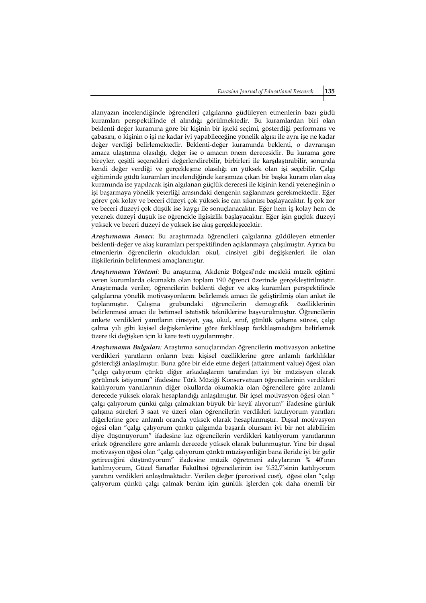alanyazın incelendiğinde öğrencileri çalgılarına güdüleyen etmenlerin bazı güdü kuramları perspektifinde el alındığı görülmektedir. Bu kuramlardan biri olan beklenti değer kuramına göre bir kişinin bir işteki seçimi, gösterdiği performans ve çabasını, o kişinin o işi ne kadar iyi yapabileceğine yönelik algısı ile aynı işe ne kadar değer verdiği belirlemektedir. Beklenti-değer kuramında beklenti, o davranışın amaca ulaştırma olasılığı, değer ise o amacın önem derecesidir. Bu kurama göre bireyler, çeşitli seçenekleri değerlendirebilir, birbirleri ile karşılaştırabilir, sonunda kendi değer verdiği ve gerçekleşme olasılığı en yüksek olan işi seçebilir. Çalgı eğitiminde güdü kuramları incelendiğinde karşımıza çıkan bir başka kuram olan akış kuramında ise yapılacak işin algılanan güçlük derecesi ile kişinin kendi yeteneğinin o işi başarmaya yönelik yeterliği arasındaki dengenin sağlanması gerekmektedir. Eğer görev çok kolay ve beceri düzeyi çok yüksek ise can sıkıntısı başlayacaktır. İş çok zor ve beceri düzeyi çok düşük ise kaygı ile sonuçlanacaktır. Eğer hem iş kolay hem de yetenek düzeyi düşük ise öğrencide ilgisizlik başlayacaktır. Eğer işin güçlük düzeyi yüksek ve beceri düzeyi de yüksek ise akış gerçekleşecektir.

*Araştırmanın Amacı:* Bu araştırmada öğrencileri çalgılarına güdüleyen etmenler beklenti-değer ve akış kuramları perspektifinden açıklanmaya çalışılmıştır. Ayrıca bu etmenlerin öğrencilerin okudukları okul, cinsiyet gibi değişkenleri ile olan ilişkilerinin belirlenmesi amaçlanmıştır.

*Araştırmanın Yöntemi:* Bu araştırma, Akdeniz Bölgesi'nde mesleki müzik eğitimi veren kurumlarda okumakta olan toplam 190 öğrenci üzerinde gerçekleştirilmiştir. Araştırmada veriler, öğrencilerin beklenti değer ve akış kuramları perspektifinde çalgılarına yönelik motivasyonlarını belirlemek amacı ile geliştirilmiş olan anket ile toplanmıştır. Çalışma grubundaki öğrencilerin demografik özelliklerinin belirlenmesi amacı ile betimsel istatistik tekniklerine başvurulmuştur. Öğrencilerin ankete verdikleri yanıtların cinsiyet, yaş, okul, sınıf, günlük çalışma süresi, çalgı çalma yılı gibi kişisel değişkenlerine göre farklılaşıp farklılaşmadığını belirlemek üzere iki değişken için ki kare testi uygulanmıştır.

*Araştırmanın Bulguları:* Araştırma sonuçlarından öğrencilerin motivasyon anketine verdikleri yanıtların onların bazı kişisel özelliklerine göre anlamlı farklılıklar gösterdiği anlaşılmıştır. Buna göre bir elde etme değeri (attainment value) öğesi olan "çalgı çalıyorum çünkü diğer arkadaşlarım tarafından iyi bir müzisyen olarak görülmek istiyorum" ifadesine Türk Müziği Konservatuarı öğrencilerinin verdikleri katılıyorum yanıtlarının diğer okullarda okumakta olan öğrencilere göre anlamlı derecede yüksek olarak hesaplandığı anlaşılmıştır. Bir içsel motivasyon öğesi olan " çalgı çalıyorum çünkü çalgı çalmaktan büyük bir keyif alıyorum" ifadesine günlük çalışma süreleri 3 saat ve üzeri olan öğrencilerin verdikleri katılıyorum yanıtları diğerlerine göre anlamlı oranda yüksek olarak hesaplanmıştır. Dışsal motivasyon öğesi olan "çalgı çalıyorum çünkü çalgımda başarılı olursam iyi bir not alabilirim diye düşünüyorum" ifadesine kız öğrencilerin verdikleri katılıyorum yanıtlarının erkek öğrencilere göre anlamlı derecede yüksek olarak bulunmuştur. Yine bir dışsal motivasyon öğesi olan "çalgı çalıyorum çünkü müzisyenliğin bana ileride iyi bir gelir getireceğini düşünüyorum" ifadesine müzik öğretmeni adaylarının % 40'ının katılmıyorum, Güzel Sanatlar Fakültesi öğrencilerinin ise %52,7'sinin katılıyorum yanıtını verdikleri anlaşılmaktadır. Verilen değer (perceived cost), öğesi olan "çalgı çalıyorum çünkü çalgı çalmak benim için günlük işlerden çok daha önemli bir